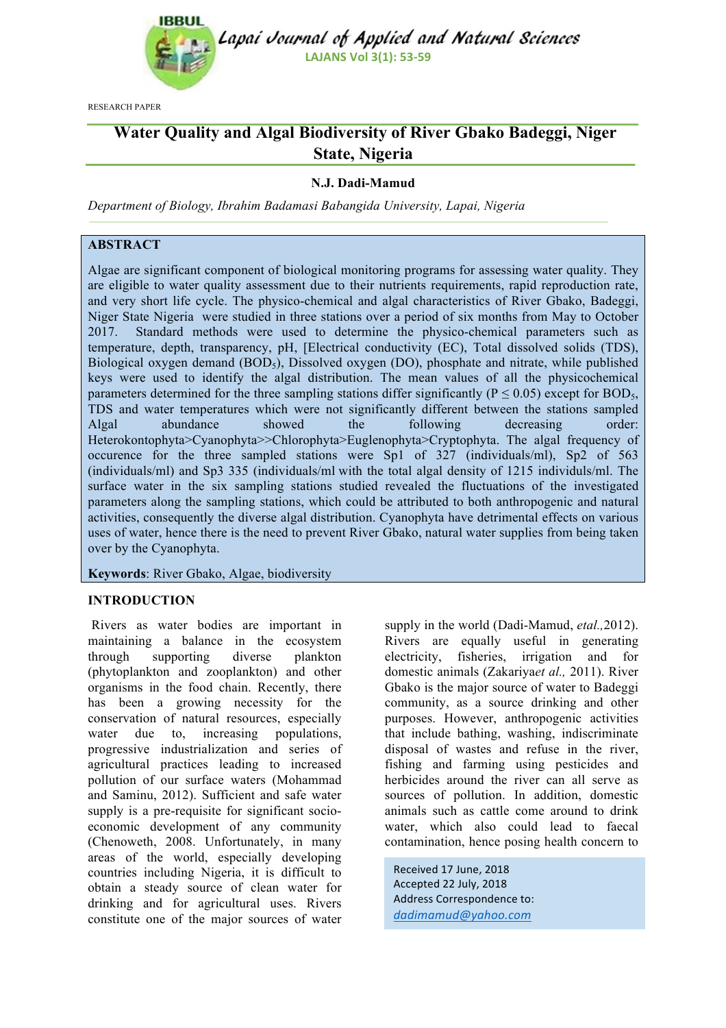

Lapai Journal of Applied and Natural Sciences **LAJANS Vol 3(1): 53-59** 

RESEARCH PAPER

# **Water Quality and Algal Biodiversity of River Gbako Badeggi, Niger State, Nigeria**

# **N.J. Dadi-Mamud**

*Department of Biology, Ibrahim Badamasi Babangida University, Lapai, Nigeria*

## **ABSTRACT**

Algae are significant component of biological monitoring programs for assessing water quality. They are eligible to water quality assessment due to their nutrients requirements, rapid reproduction rate, and very short life cycle. The physico-chemical and algal characteristics of River Gbako, Badeggi, Niger State Nigeria were studied in three stations over a period of six months from May to October 2017. Standard methods were used to determine the physico-chemical parameters such as temperature, depth, transparency, pH, [Electrical conductivity (EC), Total dissolved solids (TDS), Biological oxygen demand (BOD<sub>5</sub>), Dissolved oxygen (DO), phosphate and nitrate, while published keys were used to identify the algal distribution. The mean values of all the physicochemical parameters determined for the three sampling stations differ significantly ( $P \le 0.05$ ) except for BOD<sub>5</sub>, TDS and water temperatures which were not significantly different between the stations sampled Algal abundance showed the following decreasing order: Heterokontophyta>Cyanophyta>>Chlorophyta>Euglenophyta>Cryptophyta. The algal frequency of occurence for the three sampled stations were Sp1 of 327 (individuals/ml), Sp2 of 563 (individuals/ml) and Sp3 335 (individuals/ml with the total algal density of 1215 individuls/ml. The surface water in the six sampling stations studied revealed the fluctuations of the investigated parameters along the sampling stations, which could be attributed to both anthropogenic and natural activities, consequently the diverse algal distribution. Cyanophyta have detrimental effects on various uses of water, hence there is the need to prevent River Gbako, natural water supplies from being taken over by the Cyanophyta.

**Keywords**: River Gbako, Algae, biodiversity

#### **INTRODUCTION**

Rivers as water bodies are important in maintaining a balance in the ecosystem through supporting diverse plankton (phytoplankton and zooplankton) and other organisms in the food chain. Recently, there has been a growing necessity for the conservation of natural resources, especially water due to, increasing populations, progressive industrialization and series of agricultural practices leading to increased pollution of our surface waters (Mohammad and Saminu, 2012). Sufficient and safe water supply is a pre-requisite for significant socioeconomic development of any community (Chenoweth, 2008. Unfortunately, in many areas of the world, especially developing countries including Nigeria, it is difficult to obtain a steady source of clean water for drinking and for agricultural uses. Rivers constitute one of the major sources of water

supply in the world (Dadi-Mamud, *etal.,*2012). Rivers are equally useful in generating electricity, fisheries, irrigation and for domestic animals (Zakariya*et al.,* 2011). River Gbako is the major source of water to Badeggi community, as a source drinking and other purposes. However, anthropogenic activities that include bathing, washing, indiscriminate disposal of wastes and refuse in the river, fishing and farming using pesticides and herbicides around the river can all serve as sources of pollution. In addition, domestic animals such as cattle come around to drink water, which also could lead to faecal contamination, hence posing health concern to

Received 17 June, 2018 Accepted 22 July, 2018 Address Correspondence to: *dadimamud@yahoo.com*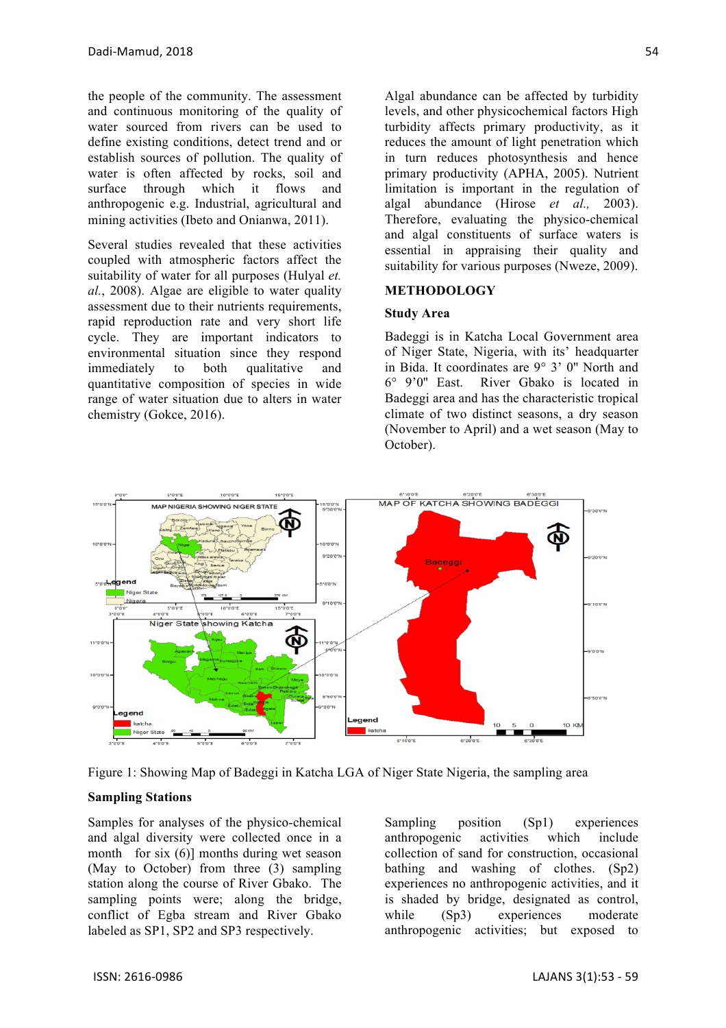the people of the community. The assessment and continuous monitoring of the quality of water sourced from rivers can be used to define existing conditions, detect trend and or establish sources of pollution. The quality of water is often affected by rocks, soil and surface through which it flows and anthropogenic e.g. Industrial, agricultural and mining activities (Ibeto and Onianwa, 2011).

Several studies revealed that these activities coupled with atmospheric factors affect the suitability of water for all purposes (Hulyal *et. al.*, 2008). Algae are eligible to water quality assessment due to their nutrients requirements, rapid reproduction rate and very short life cycle. They are important indicators to environmental situation since they respond immediately to both qualitative and quantitative composition of species in wide range of water situation due to alters in water chemistry (Gokce, 2016).

Algal abundance can be affected by turbidity levels, and other physicochemical factors High turbidity affects primary productivity, as it reduces the amount of light penetration which in turn reduces photosynthesis and hence primary productivity (APHA, 2005). Nutrient limitation is important in the regulation of algal abundance (Hirose *et al.,* 2003). Therefore, evaluating the physico-chemical and algal constituents of surface waters is essential in appraising their quality and suitability for various purposes (Nweze, 2009).

#### **METHODOLOGY**

#### **Study Area**

Badeggi is in Katcha Local Government area of Niger State, Nigeria, with its' headquarter in Bida. It coordinates are 9° 3' 0'' North and 6° 9'0'' East. River Gbako is located in Badeggi area and has the characteristic tropical climate of two distinct seasons, a dry season (November to April) and a wet season (May to October).



Figure 1: Showing Map of Badeggi in Katcha LGA of Niger State Nigeria, the sampling area

#### **Sampling Stations**

Samples for analyses of the physico-chemical and algal diversity were collected once in a month for six (6)] months during wet season (May to October) from three (3) sampling station along the course of River Gbako. The sampling points were; along the bridge, conflict of Egba stream and River Gbako labeled as SP1, SP2 and SP3 respectively.

Sampling position (Sp1) experiences anthropogenic activities which include collection of sand for construction, occasional bathing and washing of clothes. (Sp2) experiences no anthropogenic activities, and it is shaded by bridge, designated as control, while (Sp3) experiences moderate anthropogenic activities; but exposed to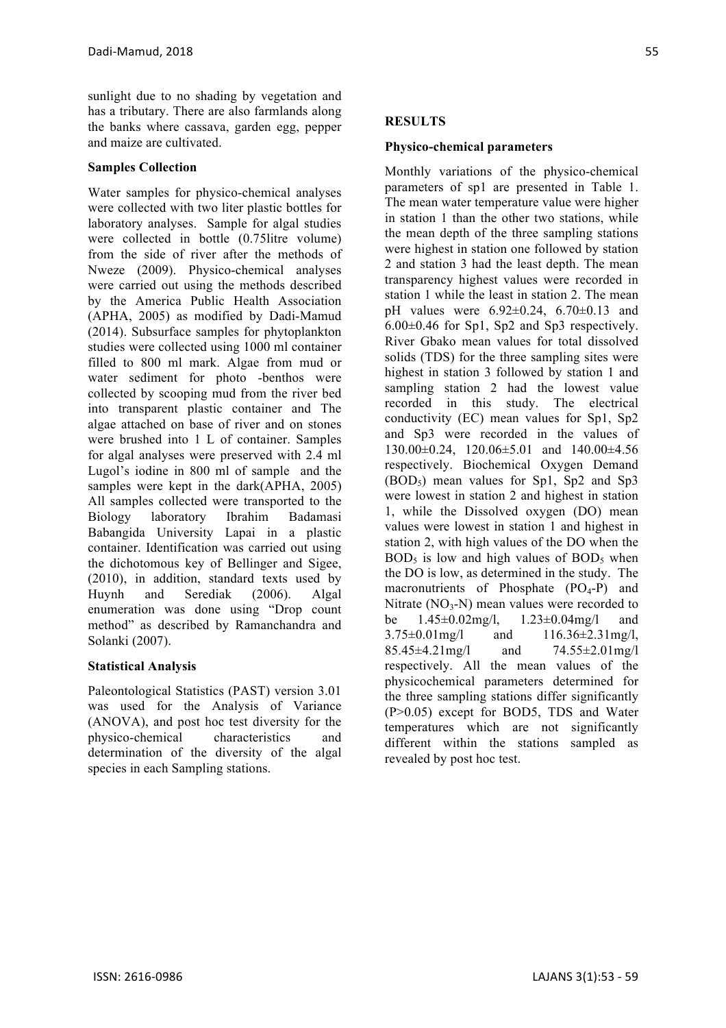sunlight due to no shading by vegetation and has a tributary. There are also farmlands along the banks where cassava, garden egg, pepper and maize are cultivated.

## **Samples Collection**

Water samples for physico-chemical analyses were collected with two liter plastic bottles for laboratory analyses. Sample for algal studies were collected in bottle (0.75litre volume) from the side of river after the methods of Nweze (2009). Physico-chemical analyses were carried out using the methods described by the America Public Health Association (APHA, 2005) as modified by Dadi-Mamud (2014). Subsurface samples for phytoplankton studies were collected using 1000 ml container filled to 800 ml mark. Algae from mud or water sediment for photo -benthos were collected by scooping mud from the river bed into transparent plastic container and The algae attached on base of river and on stones were brushed into 1 L of container. Samples for algal analyses were preserved with 2.4 ml Lugol's iodine in 800 ml of sample and the samples were kept in the dark(APHA, 2005) All samples collected were transported to the Biology laboratory Ibrahim Badamasi Babangida University Lapai in a plastic container. Identification was carried out using the dichotomous key of Bellinger and Sigee, (2010), in addition, standard texts used by Huynh and Serediak (2006). Algal enumeration was done using "Drop count method" as described by Ramanchandra and Solanki (2007).

# **Statistical Analysis**

Paleontological Statistics (PAST) version 3.01 was used for the Analysis of Variance (ANOVA), and post hoc test diversity for the physico-chemical characteristics and determination of the diversity of the algal species in each Sampling stations.

## **RESULTS**

#### **Physico-chemical parameters**

Monthly variations of the physico-chemical parameters of sp1 are presented in Table 1. The mean water temperature value were higher in station 1 than the other two stations, while the mean depth of the three sampling stations were highest in station one followed by station 2 and station 3 had the least depth. The mean transparency highest values were recorded in station 1 while the least in station 2. The mean pH values were  $6.92 \pm 0.24$ ,  $6.70 \pm 0.13$  and 6.00±0.46 for Sp1, Sp2 and Sp3 respectively. River Gbako mean values for total dissolved solids (TDS) for the three sampling sites were highest in station 3 followed by station 1 and sampling station 2 had the lowest value recorded in this study. The electrical conductivity (EC) mean values for Sp1, Sp2 and Sp3 were recorded in the values of 130.00±0.24, 120.06±5.01 and 140.00±4.56 respectively. Biochemical Oxygen Demand  $(BOD<sub>5</sub>)$  mean values for Sp1, Sp2 and Sp3 were lowest in station 2 and highest in station 1, while the Dissolved oxygen (DO) mean values were lowest in station 1 and highest in station 2, with high values of the DO when the  $BOD<sub>5</sub>$  is low and high values of  $BOD<sub>5</sub>$  when the DO is low, as determined in the study. The macronutrients of Phosphate  $(PO<sub>4</sub>-P)$  and Nitrate  $(NO<sub>3</sub>-N)$  mean values were recorded to be 1.45±0.02mg/l, 1.23±0.04mg/l and 3.75±0.01mg/l and 116.36±2.31mg/l, 85.45±4.21mg/l and 74.55±2.01mg/l respectively. All the mean values of the physicochemical parameters determined for the three sampling stations differ significantly (P>0.05) except for BOD5, TDS and Water temperatures which are not significantly different within the stations sampled as revealed by post hoc test.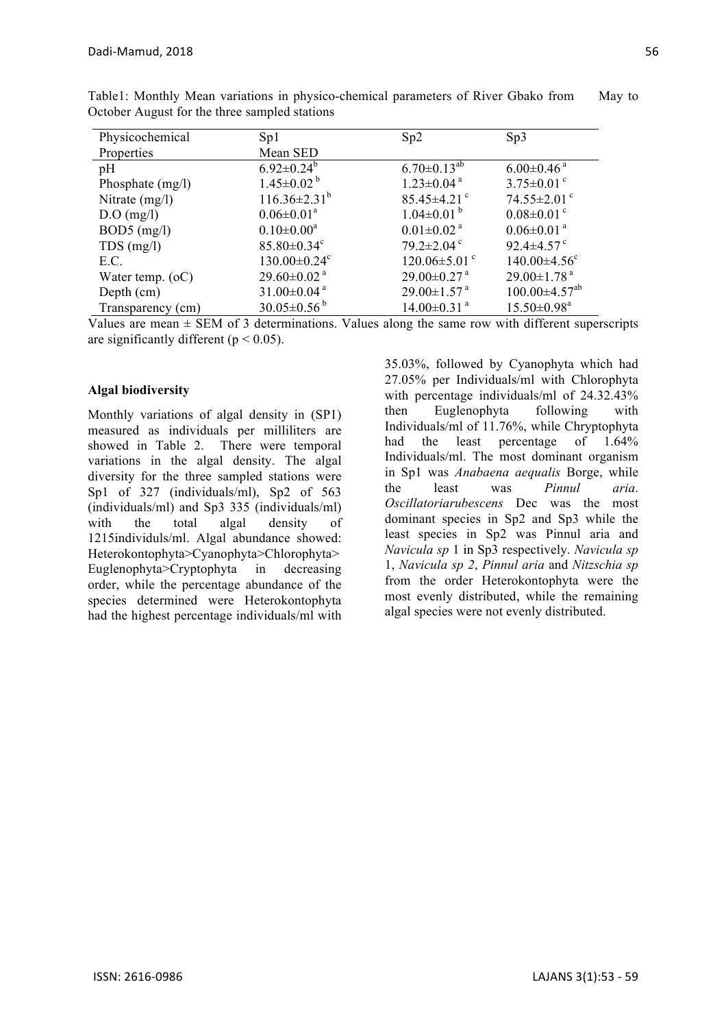| Physicochemical    | Sp1                            | Sp2                            | Sp3                             |
|--------------------|--------------------------------|--------------------------------|---------------------------------|
| Properties         | Mean SED                       |                                |                                 |
| pH                 | $6.92 \pm 0.24^b$              | $6.70 \pm 0.13^{ab}$           | $6.00 \pm 0.46$ <sup>a</sup>    |
| Phosphate (mg/l)   | $1.45 \pm 0.02^{\mathrm{b}}$   | $1.23 \pm 0.04$ <sup>a</sup>   | $3.75 \pm 0.01$ °               |
| Nitrate (mg/l)     | $116.36 \pm 2.31^b$            | $85.45 \pm 4.21$ <sup>c</sup>  | $74.55 \pm 2.01$ <sup>c</sup>   |
| $D.O$ (mg/l)       | $0.06 \pm 0.01^a$              | $1.04 \pm 0.01^{b}$            | $0.08 \pm 0.01$ <sup>c</sup>    |
| $BOD5$ (mg/l)      | $0.10 \pm 0.00^a$              | $0.01 \pm 0.02$ <sup>a</sup>   | $0.06 \pm 0.01$ <sup>a</sup>    |
| $TDS$ (mg/l)       | $85.80 \pm 0.34$ <sup>c</sup>  | $79.2 \pm 2.04$ <sup>c</sup>   | 92.4 $\pm$ 4.57 $\degree$       |
| E.C.               | $130.00 \pm 0.24$ <sup>c</sup> | $120.06 \pm 5.01$ <sup>c</sup> | $140.00 \pm 4.56$ <sup>c</sup>  |
| Water temp. $(oC)$ | $29.60 \pm 0.02$ <sup>a</sup>  | $29.00 \pm 0.27$ <sup>a</sup>  | $29.00 \pm 1.78$ <sup>a</sup>   |
| Depth (cm)         | $31.00 \pm 0.04$ <sup>a</sup>  | $29.00 \pm 1.57$ <sup>a</sup>  | $100.00 \pm 4.57$ <sup>ab</sup> |
| Transparency (cm)  | $30.05 \pm 0.56^{\circ}$       | $14.00 \pm 0.31$ <sup>a</sup>  | $15.50 \pm 0.98^{\text{a}}$     |

Table1: Monthly Mean variations in physico-chemical parameters of River Gbako from May to October August for the three sampled stations

Values are mean  $\pm$  SEM of 3 determinations. Values along the same row with different superscripts are significantly different ( $p < 0.05$ ).

## **Algal biodiversity**

Monthly variations of algal density in (SP1) measured as individuals per milliliters are showed in Table 2. There were temporal variations in the algal density. The algal diversity for the three sampled stations were Sp1 of 327 (individuals/ml), Sp2 of 563 (individuals/ml) and Sp3 335 (individuals/ml) with the total algal density of 1215individuls/ml. Algal abundance showed: Heterokontophyta>Cyanophyta>Chlorophyta> Euglenophyta>Cryptophyta in decreasing order, while the percentage abundance of the species determined were Heterokontophyta had the highest percentage individuals/ml with

35.03%, followed by Cyanophyta which had 27.05% per Individuals/ml with Chlorophyta with percentage individuals/ml of 24.32.43% then Euglenophyta following with Individuals/ml of 11.76%, while Chryptophyta had the least percentage of 1.64% Individuals/ml. The most dominant organism in Sp1 was *Anabaena aequalis* Borge, while the least was *Pinnul aria*. *Oscillatoriarubescens* Dec was the most dominant species in Sp2 and Sp3 while the least species in Sp2 was Pinnul aria and *Navicula sp* 1 in Sp3 respectively. *Navicula sp* 1, *Navicula sp 2*, *Pinnul aria* and *Nitzschia sp* from the order Heterokontophyta were the most evenly distributed, while the remaining algal species were not evenly distributed.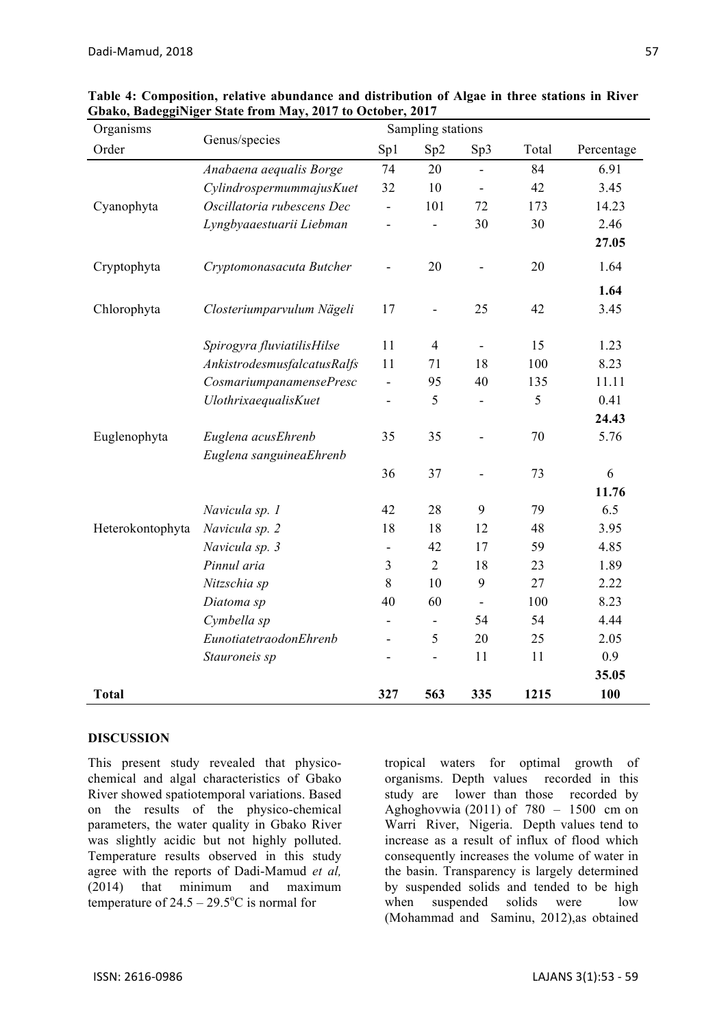| Organisms        | Genus/species               | Sampling stations        |                              |                          |       |            |
|------------------|-----------------------------|--------------------------|------------------------------|--------------------------|-------|------------|
| Order            |                             | Sp1                      | Sp2                          | Sp3                      | Total | Percentage |
|                  | Anabaena aequalis Borge     | 74                       | 20                           |                          | 84    | 6.91       |
|                  | CylindrospermummajusKuet    | 32                       | 10                           | $\blacksquare$           | 42    | 3.45       |
| Cyanophyta       | Oscillatoria rubescens Dec  |                          | 101                          | 72                       | 173   | 14.23      |
|                  | Lyngbyaaestuarii Liebman    |                          |                              | 30                       | 30    | 2.46       |
|                  |                             |                          |                              |                          |       | 27.05      |
| Cryptophyta      | Cryptomonasacuta Butcher    |                          | 20                           |                          | 20    | 1.64       |
|                  |                             |                          |                              |                          |       | 1.64       |
| Chlorophyta      | Closteriumparvulum Nägeli   | 17                       | $\qquad \qquad \blacksquare$ | 25                       | 42    | 3.45       |
|                  | Spirogyra fluviatilisHilse  | 11                       | $\overline{4}$               | $\blacksquare$           | 15    | 1.23       |
|                  | AnkistrodesmusfalcatusRalfs | 11                       | 71                           | 18                       | 100   | 8.23       |
|                  | CosmariumpanamensePresc     | $\overline{\phantom{0}}$ | 95                           | 40                       | 135   | 11.11      |
|                  | <b>UlothrixaequalisKuet</b> |                          | 5                            |                          | 5     | 0.41       |
|                  |                             |                          |                              |                          |       | 24.43      |
| Euglenophyta     | Euglena acusEhrenb          | 35                       | 35                           |                          | 70    | 5.76       |
|                  | Euglena sanguineaEhrenb     |                          |                              |                          |       |            |
|                  |                             | 36                       | 37                           |                          | 73    | 6          |
|                  |                             |                          |                              |                          |       | 11.76      |
|                  | Navicula sp. 1              | 42                       | 28                           | 9                        | 79    | 6.5        |
| Heterokontophyta | Navicula sp. 2              | 18                       | 18                           | 12                       | 48    | 3.95       |
|                  | Navicula sp. 3              |                          | 42                           | 17                       | 59    | 4.85       |
|                  | Pinnul aria                 | $\overline{3}$           | $\overline{2}$               | 18                       | 23    | 1.89       |
|                  | Nitzschia sp                | 8                        | 10                           | 9                        | 27    | 2.22       |
|                  | Diatoma sp                  | 40                       | 60                           | $\overline{\phantom{a}}$ | 100   | 8.23       |
|                  | Cymbella sp                 | -                        | $\overline{\phantom{a}}$     | 54                       | 54    | 4.44       |
|                  | EunotiatetraodonEhrenb      |                          | 5                            | 20                       | 25    | 2.05       |
|                  | Stauroneis sp               |                          | -                            | 11                       | 11    | 0.9        |
|                  |                             |                          |                              |                          |       | 35.05      |
| <b>Total</b>     |                             | 327                      | 563                          | 335                      | 1215  | 100        |

**Table 4: Composition, relative abundance and distribution of Algae in three stations in River Gbako, BadeggiNiger State from May, 2017 to October, 2017**

#### **DISCUSSION**

This present study revealed that physicochemical and algal characteristics of Gbako River showed spatiotemporal variations. Based on the results of the physico-chemical parameters, the water quality in Gbako River was slightly acidic but not highly polluted. Temperature results observed in this study agree with the reports of Dadi-Mamud *et al,*  (2014) that minimum and maximum temperature of  $24.5 - 29.5$ °C is normal for

tropical waters for optimal growth of organisms. Depth values recorded in this study are lower than those recorded by Aghoghovwia (2011) of  $780 - 1500$  cm on Warri River, Nigeria. Depth values tend to increase as a result of influx of flood which consequently increases the volume of water in the basin. Transparency is largely determined by suspended solids and tended to be high when suspended solids were low (Mohammad and Saminu, 2012),as obtained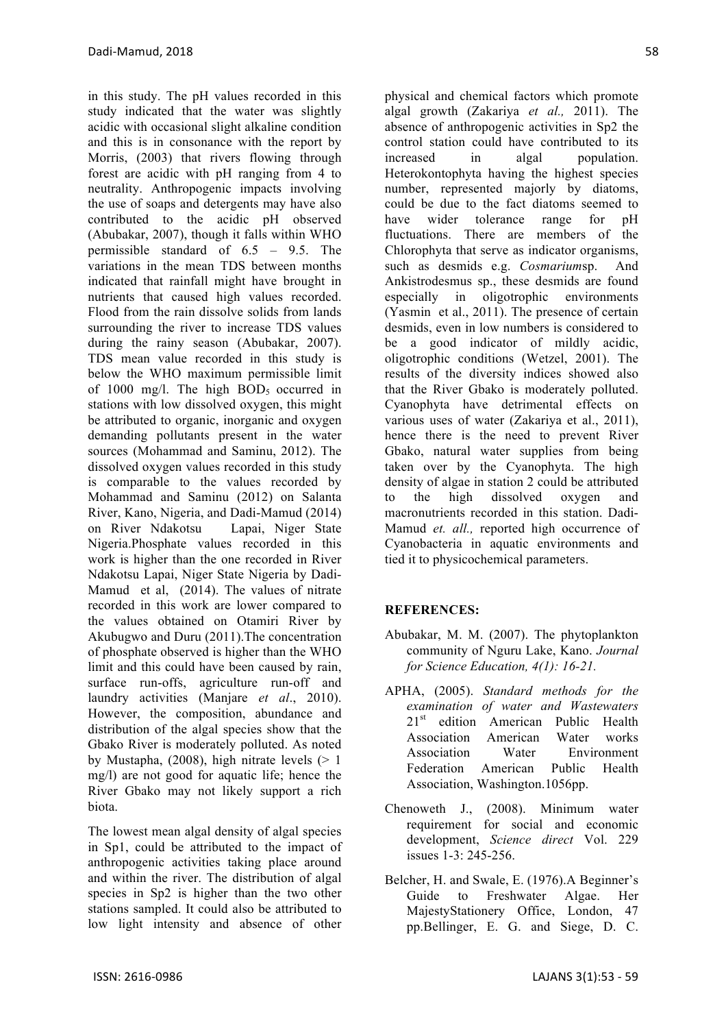in this study. The pH values recorded in this study indicated that the water was slightly acidic with occasional slight alkaline condition and this is in consonance with the report by Morris, (2003) that rivers flowing through forest are acidic with pH ranging from 4 to neutrality. Anthropogenic impacts involving the use of soaps and detergents may have also contributed to the acidic pH observed (Abubakar, 2007), though it falls within WHO permissible standard of 6.5 – 9.5. The variations in the mean TDS between months indicated that rainfall might have brought in nutrients that caused high values recorded. Flood from the rain dissolve solids from lands surrounding the river to increase TDS values during the rainy season (Abubakar, 2007). TDS mean value recorded in this study is below the WHO maximum permissible limit of 1000 mg/l. The high  $BOD<sub>5</sub>$  occurred in stations with low dissolved oxygen, this might be attributed to organic, inorganic and oxygen demanding pollutants present in the water sources (Mohammad and Saminu, 2012). The dissolved oxygen values recorded in this study is comparable to the values recorded by Mohammad and Saminu (2012) on Salanta River, Kano, Nigeria, and Dadi-Mamud (2014) on River Ndakotsu Lapai, Niger State Nigeria.Phosphate values recorded in this work is higher than the one recorded in River Ndakotsu Lapai, Niger State Nigeria by Dadi-Mamud et al, (2014). The values of nitrate recorded in this work are lower compared to the values obtained on Otamiri River by Akubugwo and Duru (2011).The concentration of phosphate observed is higher than the WHO limit and this could have been caused by rain, surface run-offs, agriculture run-off and laundry activities (Manjare *et al*., 2010). However, the composition, abundance and distribution of the algal species show that the Gbako River is moderately polluted. As noted by Mustapha,  $(2008)$ , high nitrate levels  $(> 1)$ mg/l) are not good for aquatic life; hence the River Gbako may not likely support a rich biota.

The lowest mean algal density of algal species in Sp1, could be attributed to the impact of anthropogenic activities taking place around and within the river. The distribution of algal species in Sp2 is higher than the two other stations sampled. It could also be attributed to low light intensity and absence of other

physical and chemical factors which promote algal growth (Zakariya *et al.,* 2011). The absence of anthropogenic activities in Sp2 the control station could have contributed to its increased in algal population. Heterokontophyta having the highest species number, represented majorly by diatoms, could be due to the fact diatoms seemed to have wider tolerance range for pH fluctuations. There are members of the Chlorophyta that serve as indicator organisms, such as desmids e.g. *Cosmarium*sp. And Ankistrodesmus sp., these desmids are found especially in oligotrophic environments (Yasmin et al., 2011). The presence of certain desmids, even in low numbers is considered to be a good indicator of mildly acidic, oligotrophic conditions (Wetzel, 2001). The results of the diversity indices showed also that the River Gbako is moderately polluted. Cyanophyta have detrimental effects on various uses of water (Zakariya et al., 2011), hence there is the need to prevent River Gbako, natural water supplies from being taken over by the Cyanophyta. The high density of algae in station 2 could be attributed to the high dissolved oxygen and macronutrients recorded in this station. Dadi-Mamud *et. all.,* reported high occurrence of Cyanobacteria in aquatic environments and tied it to physicochemical parameters.

# **REFERENCES:**

- Abubakar, M. M. (2007). The phytoplankton community of Nguru Lake, Kano. *Journal for Science Education, 4(1): 16-21.*
- APHA, (2005). *Standard methods for the examination of water and Wastewaters* 21<sup>st</sup> edition American Public Health Association American Water works Association Water Environment Federation American Public Health Association, Washington.1056pp.
- Chenoweth J., (2008). Minimum water requirement for social and economic development, *Science direct* Vol. 229 issues 1-3: 245-256.
- Belcher, H. and Swale, E. (1976).A Beginner's Guide to Freshwater Algae. Her MajestyStationery Office, London, 47 pp.Bellinger, E. G. and Siege, D. C.